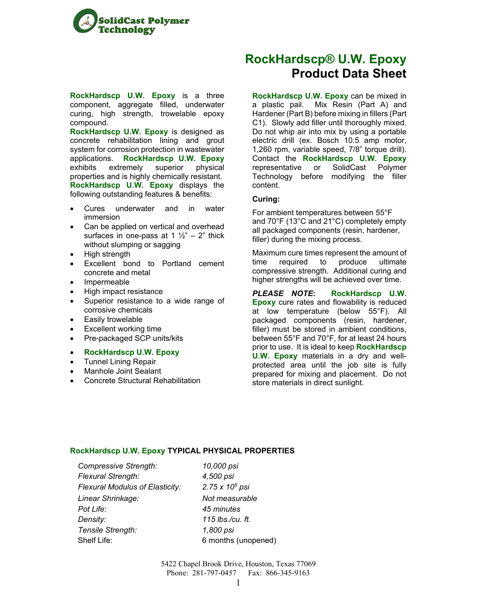

**RockHardscp U.W. Epoxy** is a three component, aggregate filled, underwater curing, high strength, trowelable epoxy compound.

**RockHardscp U.W. Epoxy** is designed as concrete rehabilitation lining and grout system for corrosion protection in wastewater applications. **RockHardscp U.W. Epoxy**  exhibits extremely superior physical properties and is highly chemically resistant. **RockHardscp U.W. Epoxy** displays the following outstanding features & benefits:

- Cures underwater and in water immersion
- Can be applied on vertical and overhead surfaces in one-pass at 1  $\frac{1}{2}$ " – 2" thick without slumping or sagging
- High strength
- Excellent bond to Portland cement concrete and metal
- Impermeable
- High impact resistance
- Superior resistance to a wide range of corrosive chemicals
- Easily trowelable
- Excellent working time
- Pre-packaged SCP units/kits
- **RockHardscp U.W. Epoxy**
- Tunnel Lining Repair
- Manhole Joint Sealant
- Concrete Structural Rehabilitation

## **RockHardscp® U.W. Epoxy Product Data Sheet**

**RockHardscp U.W. Epoxy** can be mixed in a plastic pail. Mix Resin (Part A) and Hardener (Part B) before mixing in fillers (Part C1). Slowly add filler until thoroughly mixed. Do not whip air into mix by using a portable electric drill (ex. Bosch 10.5 amp motor, 1,260 rpm, variable speed, 7/8" torque drill). Contact the **RockHardscp U.W. Epoxy**  representative or SolidCast Polymer Technology before modifying the filler content.

#### **Curing:**

For ambient temperatures between 55°F and 70°F (13°C and 21°C) completely empty all packaged components (resin, hardener, filler) during the mixing process.

Maximum cure times represent the amount of time required to produce ultimate compressive strength. Additional curing and higher strengths will be achieved over time.

*PLEASE NOTE***: RockHardscp U.W. Epoxy** cure rates and flowability is reduced at low temperature (below 55°F). All packaged components (resin, hardener, filler) must be stored in ambient conditions, between 55°F and 70°F, for at least 24 hours prior to use. It is ideal to keep **RockHardscp U.W. Epoxy** materials in a dry and wellprotected area until the job site is fully prepared for mixing and placement. Do not store materials in direct sunlight.

#### **RockHardscp U.W. Epoxy TYPICAL PHYSICAL PROPERTIES**

*Compressive Strength: 10,000 psi Flexural Strength: 4,500 psi Flexural Modulus of Elasticity: 2.75 x 105 psi Linear Shrinkage: Not measurable Pot Life: 45 minutes Density: 115 lbs./cu. ft. Tensile Strength: 1,800 psi*

Shelf Life: 6 months (unopened)

5422 Chapel Brook Drive, Houston, Texas 77069 Phone: 281-797-0457 Fax: 866-345-9163